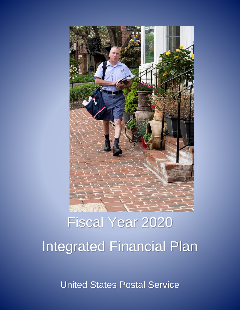

# Fiscal Year 2020 Integrated Financial Plan

United States Postal Service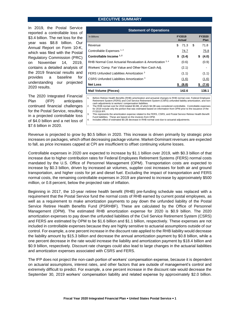### **EXECUTIVE SUMMARY**

In 2019, the Postal Service reported a controllable loss of \$3.4 billion. The net loss for the year was \$8.8 billion. Our Annual Report on Form 10-K, which was filed with the Postal Regulatory Commission (PRC) on November 14, 2019, contains a detailed analysis of the 2019 financial results and provides a baseline for understanding our projected 2020 results.

The 2020 Integrated Financial Plan (IFP) anticipates continued financial challenges for the Postal Service, resulting in a projected controllable loss of \$4.0 billion and a net loss of \$7.6 billion in 2020.

| <b>Statement of Operations</b>                            |                  |       |      |                       |  |  |  |  |
|-----------------------------------------------------------|------------------|-------|------|-----------------------|--|--|--|--|
| In Billions                                               | FY2019<br>Actual |       |      | <b>FY2020</b><br>Plan |  |  |  |  |
| Revenue                                                   | \$               | 71.3  | - \$ | 71.8                  |  |  |  |  |
| Controllable Expenses 1, 2                                |                  | 74.7  |      | 75.8                  |  |  |  |  |
| Controllable Income 1, 2                                  | \$               | (3.4) |      | (4.0)<br>\$           |  |  |  |  |
| RHB Normal Cost Actuarial Revaluation & Amortization 3, 4 |                  | (0.6) |      | (0.9)                 |  |  |  |  |
| Workers' Comp. Fair Value and Other Non-Cash Adj.         |                  | (2.1) |      |                       |  |  |  |  |
| FERS Unfunded Liabilities Amortization 3                  |                  | (1.1) |      | (1.1)                 |  |  |  |  |
| CSRS Unfunded Liabilities Amortization 3                  |                  | (1.6) |      | (1.6)                 |  |  |  |  |
| <b>Net Loss</b>                                           | S.               | (8.8) |      | (7.6)                 |  |  |  |  |
| <b>Mail Volume (Pieces)</b>                               |                  | 142.6 |      | 138.1                 |  |  |  |  |

1. Before Retiree Health Benefits (RHB) amortization and actuarial changes to RHB normal cost, Federal Employee Retirement System (FERS) and Civil Service Retirement System (CSRS) unfunded liability amortization, and noncash adjustments to workers' compensation liabilities.

2. The RHB normal cost for 2019 totaled \$3.8B, of which \$4.0B was considered controllable. Controllable expenses for 2019 include only the portion that was estimated based on information from OPM prior to the issuance of the

FY2019 IFP.

3. This represents the amortization expense related to the FERS, CSRS, and Postal Service Retiree Health Benefit Fund liabilities. These are based on the invoices from OPM.

4. Includes effect of estimated \$0.2B decrease in RHB normal cost due to actuarial adjustments.

Revenue is projected to grow by \$0.5 billion in 2020. This increase is driven primarily by strategic price increases on packages, which offset decreasing package volume. Market-Dominant revenues are expected to fall, as price increases capped at CPI are insufficient to offset continuing volume losses.

Controllable expenses in 2020 are expected to increase by \$1.1 billion over 2019, with \$0.3 billion of that increase due to higher contribution rates for Federal Employees Retirement Systems (FERS) normal costs mandated by the U.S. Office of Personnel Management (OPM). Transportation costs are expected to increase by \$0.3 billion, driven by increased air volumes, supplier cost increases for both air and ground transportation, and higher costs for jet and diesel fuel. Excluding the impact of transportation and FERS normal costs, the remaining controllable expenses in 2019 are planned to increase by approximately \$500 million, or 0.8 percent, below the projected rate of inflation.

Beginning in 2017, the 10-year retiree health benefit (RHB) pre-funding schedule was replaced with a requirement that the Postal Service fund the normal costs of RHB earned by current postal employees, as well as a requirement to make amortization payments to pay down the unfunded liability of the Postal Service Retiree Health Benefits Fund (PSRHBF). These are calculated by the Office of Personnel Management (OPM). The estimated RHB amortization expense for 2020 is \$0.9 billion. The 2020 amortization expenses to pay down the unfunded liabilities of the Civil Service Retirement System (CSRS) and FERS are estimated by OPM to be \$1.6 billion and \$1.1 billion, respectively. These expenses are not included in controllable expenses because they are highly sensitive to actuarial assumptions outside of our control. For example, a one percent increase in the discount rate applied to the RHB liability would decrease the liability amount by \$15.3 billion and decrease the annual amortization payment by \$0.8 billion, while a one percent decrease in the rate would increase the liability and amortization payment by \$18.4 billion and \$0.9 billion, respectively. Discount rate changes could also lead to large changes in the actuarial liabilities and amortization expenses associated with CSRS and FERS.

The IFP does not project the non-cash portion of workers' compensation expense, because it is dependent on actuarial assumptions, interest rates, and other factors that are outside of management's control and extremely difficult to predict. For example, a one percent increase in the discount rate would decrease the September 30, 2019 workers' compensation liability and related expense by approximately \$2.0 billion.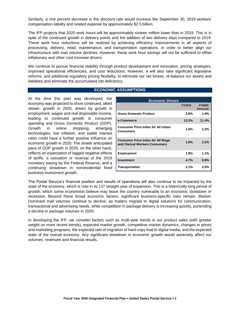Similarly, a one percent decrease in the discount rate would increase the September 30, 2019 workers' compensation liability and related expense by approximately \$2.5 billion.

The IFP projects that 2020 work hours will be approximately sixteen million lower than in 2019. This is in spite of the continued growth in delivery points and the addition of two delivery days compared to 2019. These work hour reductions will be realized by achieving efficiency improvements in all aspects of processing, delivery, retail, maintenance, and transportation operations, in order to better align our infrastructure with mail volume declines. However, these work hour savings will not be sufficient to offset inflationary and other cost increase drivers.

We continue to pursue financial stability through product development and innovation, pricing strategies, improved operational efficiencies, and cost reductions. However, it will also take significant legislative reforms, and additional regulatory pricing flexibility, to eliminate our net losses, re-balance our assets and liabilities and eliminate the accumulated net deficiency.

### **ECONOMIC ASSUMPTIONS**

At the time this plan was developed, the economy was projected to show continued, albeit slower, growth in 2020, driven by growth in employment, wages and real disposable income, leading to continued growth in consumer spending and Gross Domestic Product (GDP). Growth in online shopping, emerging technologies, low inflation, and stable interest rates could have a further positive influence on economic growth in 2020. The slower anticipated pace of GDP growth in 2020, on the other hand, reflects an expectation of lagged negative effects of tariffs, a cessation or reversal of the 2019 monetary easing by the Federal Reserve, and a continuing slowdown in nonresidential fixed business investment growth.

| <b>Economic Drivers</b>                                                    |               |                                  |  |  |  |  |  |  |
|----------------------------------------------------------------------------|---------------|----------------------------------|--|--|--|--|--|--|
|                                                                            | <b>FY2019</b> | <b>FY2020</b><br><b>Forecast</b> |  |  |  |  |  |  |
| <b>Gross Domestic Product</b>                                              | 2.8%          | $1.9\%$                          |  |  |  |  |  |  |
| e-Commerce                                                                 | 12.2%         | 11.4%                            |  |  |  |  |  |  |
| <b>Consumer Price Index for All Urban</b><br>Consumers                     | 1.8%          | 2.2%                             |  |  |  |  |  |  |
| <b>Consumer Price Index for All Wage</b><br>and Clerical Workers Consumers | 1.8%          | 2.2%                             |  |  |  |  |  |  |
| <b>Employment</b>                                                          | 1.9%          | 1.1%                             |  |  |  |  |  |  |
| <b>Investment</b>                                                          | 4.7%          | 0.8%                             |  |  |  |  |  |  |
| <b>Transportation</b>                                                      | 2.1%          | 2.5%                             |  |  |  |  |  |  |

The Postal Service's financial position and results of operations will also continue to be impacted by the state of the economy, which is now in its 11<sup>th</sup> straight year of expansion. This is a historically long period of growth, which some economists believe may leave the country vulnerable to an economic slowdown or recession. Beyond these broad economic factors, significant business-specific risks remain. Market-Dominant mail volumes continue to decline, as mailers migrate to digital solutions for communication, transactional and advertising needs, while competition in package delivery is increasing quickly, portending a decline in package volumes in 2020.

In developing the IFP, we consider factors such as multi-year trends in our product sales (with greater weight on more recent trends), expected market growth, competitive market dynamics, changes in prices and marketing programs, the expected rate of migration of hard-copy mail to digital media, and the expected state of the overall economy. Any significant slowdown in economic growth would adversely affect our volumes, revenues and financial results.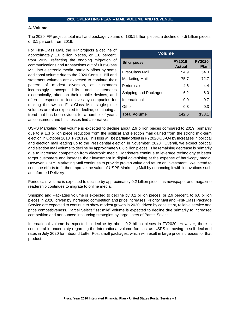## **2020 OPERATING PLAN – MAIL VOLUME AND REVENUE**

#### **A. Volume**

The 2020 IFP projects total mail and package volume of 138.1 billion pieces, a decline of 4.5 billion pieces, or 3.1 percent, from 2019.

For First-Class Mail, the IFP projects a decline of approximately 1.0 billion pieces, or 1.8 percent, from 2019, reflecting the ongoing migration of communications and transactions out of First-Class Mail into electronic media, partially offset by some additional volume due to the 2020 Census. Bill and statement volumes are expected to continue their pattern of modest diversion, as customers increasingly accept bills and statements electronically, often on their mobile devices, and often in response to incentives by companies for making the switch. First-Class Mail single-piece volumes are also expected to decline, continuing a trend that has been evident for a number of years as consumers and businesses find alternatives.

| Volume                |                                |                              |  |  |  |  |  |
|-----------------------|--------------------------------|------------------------------|--|--|--|--|--|
| <b>Billion pieces</b> | <b>FY2019</b><br><b>Actual</b> | <b>FY2020</b><br><b>Plan</b> |  |  |  |  |  |
| First-Class Mail      | 54.9                           | 54.0                         |  |  |  |  |  |
| Marketing Mail        | 75.7                           | 72.7                         |  |  |  |  |  |
| Periodicals           | 4.6                            | 4.4                          |  |  |  |  |  |
| Shipping and Packages | 6.2                            | 6.0                          |  |  |  |  |  |
| International         | 0.9                            | 0.7                          |  |  |  |  |  |
| Other                 | 0.3                            | 0.3                          |  |  |  |  |  |
| <b>Total Volume</b>   | 142.6                          | 138.1                        |  |  |  |  |  |

USPS Marketing Mail volume is expected to decline about 2.9 billion pieces compared to 2019, primarily due to a 1.3 billion piece reduction from the political and election mail gained from the strong mid-term election in October 2018 (FY2019). This loss will be partially offset in FY2020 Q3-Q4 by increases in political and election mail leading up to the Presidential election in November, 2020. Overall, we expect political and election mail volume to decline by approximately 0.6 billion pieces. The remaining decrease is primarily due to increased competition from electronic media. Marketers continue to leverage technology to better target customers and increase their investment in digital advertising at the expense of hard-copy media. However, USPS Marketing Mail continues to provide proven value and return on investment. We intend to continue efforts to further improve the value of USPS Marketing Mail by enhancing it with innovations such as Informed Delivery.

Periodicals volume is expected to decline by approximately 0.2 billion pieces as newspaper and magazine readership continues to migrate to online media.

Shipping and Packages volume is expected to decline by 0.2 billion pieces, or 2.9 percent, to 6.0 billion pieces in 2020, driven by increased competition and price increases. Priority Mail and First-Class Package Service are expected to continue to show modest growth in 2020, driven by consistent, reliable service and price competitiveness. Parcel Select "last mile" volume is expected to decline due primarily to increased competition and announced insourcing strategies by large users of Parcel Select.

International volume is expected to decline by about 0.2 billion pieces in FY2020. However, there is considerable uncertainty regarding the International volume forecast as USPS is moving to self-declared rates in July 2020 for Inbound Letter Post small packages, which will result in large price increases for that product.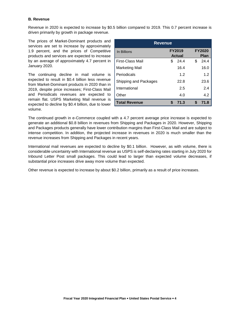# **B. Revenue**

Revenue in 2020 is expected to increase by \$0.5 billion compared to 2019. This 0.7 percent increase is driven primarily by growth in package revenue.

The prices of Market-Dominant products and services are set to increase by approximately 1.9 percent, and the prices of Competitive products and services are expected to increase by an average of approximately 4.7 percent in January 2020.

The continuing decline in mail volume is expected to result in \$0.4 billion less revenue from Market-Dominant products in 2020 than in 2019, despite price increases; First-Class Mail and Periodicals revenues are expected to remain flat. USPS Marketing Mail revenue is expected to decline by \$0.4 billion, due to lower volume.

| <b>Revenue</b>        |                                                                |            |  |  |  |  |  |
|-----------------------|----------------------------------------------------------------|------------|--|--|--|--|--|
| In Billions           | <b>FY2020</b><br><b>FY2019</b><br><b>Actual</b><br><b>Plan</b> |            |  |  |  |  |  |
| First-Class Mail      | 24.4<br>S                                                      | \$<br>24.4 |  |  |  |  |  |
| <b>Marketing Mail</b> | 16.4                                                           | 16.0       |  |  |  |  |  |
| Periodicals           | 1.2                                                            | 1.2        |  |  |  |  |  |
| Shipping and Packages | 22.8                                                           | 23.6       |  |  |  |  |  |
| International         | 2.5                                                            | 2.4        |  |  |  |  |  |
| Other                 | 4.0                                                            | 4.2        |  |  |  |  |  |
| <b>Total Revenue</b>  | 71.3<br>S                                                      | 71.8<br>S  |  |  |  |  |  |

The continued growth in e-Commerce coupled with a 4.7 percent average price increase is expected to generate an additional \$0.8 billion in revenues from Shipping and Packages in 2020. However, Shipping and Packages products generally have lower contribution margins than First-Class Mail and are subject to intense competition. In addition, the projected increase in revenues in 2020 is much smaller than the revenue increases from Shipping and Packages in recent years.

International mail revenues are expected to decline by \$0.1 billion. However, as with volume, there is considerable uncertainty with International revenue as USPS is self-declaring rates starting in July 2020 for Inbound Letter Post small packages. This could lead to larger than expected volume decreases, if substantial price increases drive away more volume than expected.

Other revenue is expected to increase by about \$0.2 billion, primarily as a result of price increases.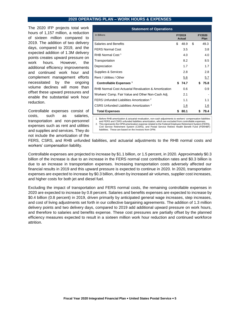#### **2020 OPERATING PLAN – WORK HOURS & EXPENSES**

The 2020 IFP projects total work hours of 1,157 million, a reduction of sixteen million compared to 2019. The addition of two delivery days, compared to 2019, and the expected addition of 1.3M delivery points creates upward pressure on work hours. However, the additional efficiency improvements and continued work hour and complement management efforts necessitated by the ongoing volume declines will more than offset these upward pressures and enable the substantial work hour reduction.

Controllable expenses consist of costs, such as salaries, transportation and non-personnel expenses such as rent and utilities and supplies and services. They do not include the amortization of the

| <b>Statement of Operations</b>                       |     |                  |    |    |                       |  |  |  |  |
|------------------------------------------------------|-----|------------------|----|----|-----------------------|--|--|--|--|
| In Billions                                          |     | FY2019<br>Actual |    |    | <b>FY2020</b><br>Plan |  |  |  |  |
| Salaries and Benefits                                | \$. | 48.9             | \$ |    | 49.3                  |  |  |  |  |
| <b>FERS Normal Cost</b>                              |     | 3.5              |    |    | 3.8                   |  |  |  |  |
| RHB Normal Cost <sup>1</sup>                         |     | 4.0              |    |    | 4.0                   |  |  |  |  |
| Transportation                                       |     | 8.2              |    |    | 8.5                   |  |  |  |  |
| Depreciation                                         |     | 1.7              |    |    | 1.7                   |  |  |  |  |
| Supplies & Services                                  |     | 2.8              |    |    | 2.8                   |  |  |  |  |
| Rent / Utilities / Other                             |     | 5.6              |    |    | 5.7                   |  |  |  |  |
| Controllable Expenses <sup>1</sup>                   | \$  | 74.7             |    | \$ | 75.8                  |  |  |  |  |
| RHB Normal Cost Actuarial Revaluation & Amortization |     | 0.6              |    |    | 0.9                   |  |  |  |  |
| Workers' Comp. Fair Value and Other Non-Cash Adj.    |     | 2.1              |    |    |                       |  |  |  |  |
| FERS Unfunded Liabilities Amortization <sup>2</sup>  |     | 1.1              |    |    | 1.1                   |  |  |  |  |
| CSRS Unfunded Liabilities Amortization <sup>2</sup>  |     | 1.6              |    |    | 1.6                   |  |  |  |  |
| <b>Total Expenses</b>                                | \$  | 80.1             |    | S  | 79.4                  |  |  |  |  |

1. Before RHB amortization & actuarial revaluation, non-cash adjustments to workers' compensation liabilities and FERS and CSRS unfunded liabilities amortization, which are excluded from controllable expenses. 2. This represents the OPM amortization expense related to the Federal Employee Retirement System (FERS), Civil Service Retirement System (CSRS), and Postal Service Retiree Health Benefit Fund (PSRHBF) liabilities. These are based on the invoices from OPM.

FERS, CSRS, and RHB unfunded liabilities, and actuarial adjustments to the RHB normal costs and workers' compensation liability.

Controllable expenses are projected to increase by \$1.1 billion, or 1.5 percent, in 2020. Approximately \$0.3 billion of the increase is due to an increase in the FERS normal cost contribution rates and \$0.3 billion is due to an increase in transportation expenses. Increasing transportation costs adversely affected our financial results in 2019 and this upward pressure is expected to continue in 2020. In 2020, transportation expenses are expected to increase by \$0.3 billion, driven by increased air volumes, supplier cost increases, and higher costs for both jet and diesel fuel.

Excluding the impact of transportation and FERS normal costs, the remaining controllable expenses in 2020 are expected to increase by 0.8 percent. Salaries and benefits expenses are expected to increase by \$0.4 billion (0.8 percent) in 2019, driven primarily by anticipated general wage increases, step increases, and cost of living adjustments set forth in our collective bargaining agreements. The addition of 1.3 million delivery points and two delivery days, compared to 2019 add additional upward pressure on work hours, and therefore to salaries and benefits expense. These cost pressures are partially offset by the planned efficiency measures expected to result in a sixteen million work hour reduction and continued workforce attrition.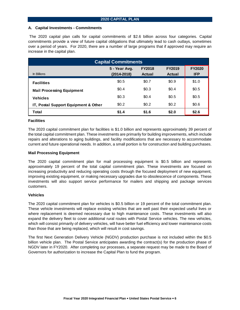## **A. Capital Investments - Commitments**

The 2020 capital plan calls for capital commitments of \$2.6 billion across four categories. Capital commitments provide a view of future capital obligations that ultimately lead to cash outlays, sometimes over a period of years. For 2020, there are a number of large programs that if approved may require an increase in the capital plan.

|                                      | <b>Capital Commitments</b>       |                                |                         |                             |
|--------------------------------------|----------------------------------|--------------------------------|-------------------------|-----------------------------|
| In Billions                          | 5 - Year Avg.<br>$(2014 - 2018)$ | <b>FY2018</b><br><b>Actual</b> | FY2019<br><b>Actual</b> | <b>FY2020</b><br><b>IFP</b> |
| <b>Facilities</b>                    | \$0.5                            | \$0.7                          | \$0.9                   | \$1.0                       |
| <b>Mail Processing Equipment</b>     | \$0.4                            | \$0.3                          | \$0.4                   | \$0.5                       |
| <b>Vehicles</b>                      | \$0.3                            | \$0.4                          | \$0.5                   | \$0.5                       |
| IT, Postal Support Equipment & Other | \$0.2\$                          | \$0.2\$                        | \$0.2\$                 | \$0.6\$                     |
| <b>Total</b>                         | \$1.4                            | \$1.6                          | \$2.0                   | \$2.6                       |

# **Facilities**

The 2020 capital commitment plan for facilities is \$1.0 billion and represents approximately 39 percent of the total capital commitment plan. These investments are primarily for building improvements, which include repairs and alterations to aging buildings, and facility modifications that are necessary to accommodate current and future operational needs. In addition, a small portion is for construction and building purchases.

# **Mail Processing Equipment**

The 2020 capital commitment plan for mail processing equipment is \$0.5 billion and represents approximately 19 percent of the total capital commitment plan. These investments are focused on increasing productivity and reducing operating costs through the focused deployment of new equipment, improving existing equipment, or making necessary upgrades due to obsolescence of components. These investments will also support service performance for mailers and shipping and package services customers.

## **Vehicles**

The 2020 capital commitment plan for vehicles is \$0.5 billion or 19 percent of the total commitment plan. These vehicle investments will replace existing vehicles that are well past their expected useful lives or where replacement is deemed necessary due to high maintenance costs. These investments will also expand the delivery fleet to cover additional rural routes with Postal Service vehicles. The new vehicles, which will consist primarily of delivery vehicles, will have better fuel efficiency and lower maintenance costs than those that are being replaced, which will result in cost savings.

The first Next Generation Delivery Vehicle (NGDV) production purchase is not included within the \$0.5 billion vehicle plan. The Postal Service anticipates awarding the contract(s) for the production phase of NGDV later in FY2020. After completing our processes, a separate request may be made to the Board of Governors for authorization to increase the Capital Plan to fund the program.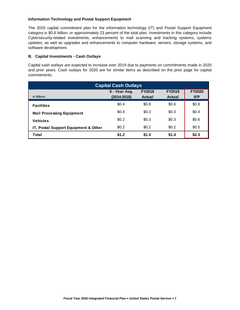# **Information Technology and Postal Support Equipment**

The 2020 capital commitment plan for the information technology (IT) and Postal Support Equipment category is \$0.6 billion, or approximately 23 percent of the total plan. Investments in this category include Cybersecurity-related investments, enhancements to mail scanning and tracking systems, systems updates, as well as upgrades and enhancements to computer hardware, servers, storage systems, and software development.

# **B. Capital Investments - Cash Outlays**

Capital cash outlays are expected to increase over 2019 due to payments on commitments made in 2020 and prior years. Cash outlays for 2020 are for similar items as described on the prior page for capital commitments.

|                                      | <b>Capital Cash Outlays</b>      |                                |                                |                             |
|--------------------------------------|----------------------------------|--------------------------------|--------------------------------|-----------------------------|
| In Billions                          | 5 - Year Avg.<br>$(2014 - 2018)$ | <b>FY2018</b><br><b>Actual</b> | <b>FY2019</b><br><b>Actual</b> | <b>FY2020</b><br><b>IFP</b> |
| <b>Facilities</b>                    | \$0.4                            | \$0.6\$                        | \$0.6\$                        | \$0.8\$                     |
| <b>Mail Processing Equipment</b>     | \$0.4                            | \$0.3                          | \$0.3\$                        | \$0.4                       |
| <b>Vehicles</b>                      | \$0.2\$                          | \$0.3                          | \$0.3\$                        | \$0.6                       |
| IT, Postal Support Equipment & Other | \$0.2                            | \$0.2                          | \$0.2\$                        | \$0.5                       |
| <b>Total</b>                         | \$1.2                            | \$1.4                          | \$1.4                          | \$2.3                       |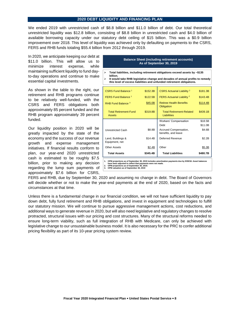#### **2020 DEBT LIQUIDITY AND FINANCING PLAN**

We ended 2019 with unrestricted cash of \$8.8 billion and \$11.0 billion of debt. Our total theoretical unrestricted liquidity was \$12.8 billion, consisting of \$8.8 billion in unrestricted cash and \$4.0 billion of available borrowing capacity under our statutory debt ceiling of \$15 billion. This was a \$0.9 billion improvement over 2018. This level of liquidity was achieved only by defaulting on payments to the CSRS, FERS and RHB funds totaling \$55.4 billion from 2012 through 2019.

In 2020, we anticipate keeping our debt at \$11.0 billion. This will allow us to minimize interest expense, while maintaining sufficient liquidity to fund dayto-day operations and continue to make essential capital investments.

As shown in the table to the right, our retirement and RHB programs continue to be relatively well-funded, with the CSRS and FERS obligations both approximately 85 percent funded and the RHB program approximately 39 percent funded.

Our liquidity position in 2020 will be greatly impacted by the state of the economy and the success of our revenue growth and expense management initiatives. If financial results conform to plan, our year-end 2020 unrestricted cash is estimated to be roughly \$7.5 billion, prior to making any decision regarding the lump sum payments of approximately \$7.6 billion for CSRS,

#### **Balance Sheet (including retirement accounts) As of September 30, 2019**

- **Total liabilities, including retirement obligations exceed assets by ~\$135 billion.**
- **It would take RHB legislative change and decades of annual profits to remedy this level of excess liabilities and unfunded retirement obligations.**

| CSRS Fund Balance <sup>1</sup>                | \$152.3B | <b>CSRS Actuarial Liability<sup>2</sup></b>           | \$181.3B |
|-----------------------------------------------|----------|-------------------------------------------------------|----------|
| FERS Fund Balance <sup>1</sup>                | \$122.5B | <b>FERS Actuarial Liability 2</b>                     | \$143.4B |
| RHB Fund Balance <sup>3</sup>                 | \$45.0B  | <b>Retiree Health Benefits</b><br>Obligation          | \$114.4B |
| <b>Total Retirement-Fund</b><br><b>Assets</b> | \$319.8B | <b>Total Retirement-Related</b><br><b>Liabilities</b> | \$439.1B |
|                                               |          | <b>Workers' Compensation</b>                          | \$18.5B  |
|                                               |          | Debt                                                  | \$11.0B  |
| <b>Unrestricted Cash</b>                      | \$8.8B   | Accrued Compensation,<br>benefits, and leave          | \$4.6B   |
| Land, Buildings &<br>Equipment, net           | \$14.4B  | Deferred Revenue                                      | \$2.2B   |
| <b>Other Assets</b>                           | \$2.4B   | Other                                                 | \$5.3B   |
| <b>Total Assets</b>                           | \$345.4B | <b>Total Liabilities</b>                              | \$480.7B |

**1. OPM projections as of September 30, 2019 includes amortization payments due by 9/30/18. Asset balances have been adjusted to reflect that payments were not made.**

**2. OPM projections as of September 30, 2019. 3. OPM valuation as of September 30, 2019**

FERS and RHB, due by September 30, 2020 and assuming no change in debt. The Board of Governors will decide whether or not to make the year-end payments at the end of 2020, based on the facts and circumstances at that time.

Unless there is a fundamental change in our financial condition, we will not have sufficient liquidity to pay down debt, fully fund retirement and RHB obligations, and invest in equipment and technologies to fulfill our statutory mission. We will continue to pursue aggressive management actions, cost reductions, and additional ways to generate revenue in 2020, but will also need legislative and regulatory changes to resolve protracted, structural issues with our pricing and cost structures. Many of the structural reforms needed to ensure long-term viability, such as full integration of RHB with Medicare, can only be achieved with legislative change to our unsustainable business model. It is also necessary for the PRC to confer additional pricing flexibility as part of its 10-year pricing system review.